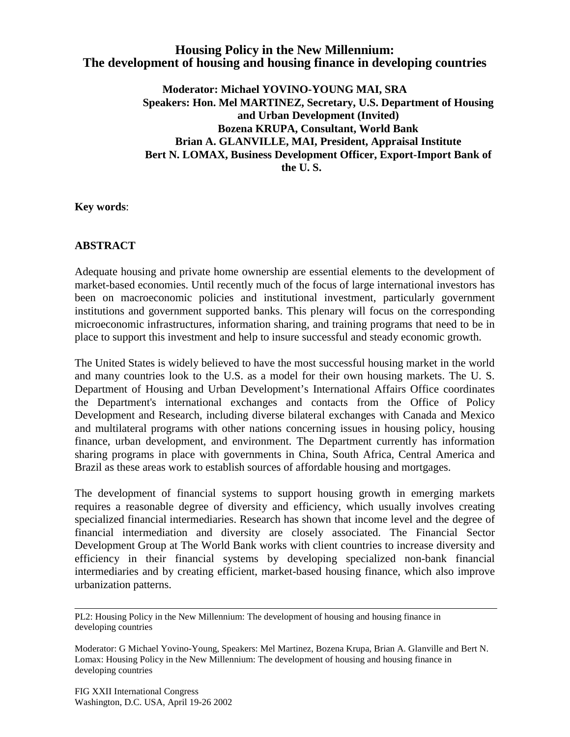## **Housing Policy in the New Millennium: The development of housing and housing finance in developing countries**

**Moderator: Michael YOVINO-YOUNG MAI, SRA Speakers: Hon. Mel MARTINEZ, Secretary, U.S. Department of Housing and Urban Development (Invited) Bozena KRUPA, Consultant, World Bank Brian A. GLANVILLE, MAI, President, Appraisal Institute Bert N. LOMAX, Business Development Officer, Export-Import Bank of the U. S.**

**Key words**:

## **ABSTRACT**

Adequate housing and private home ownership are essential elements to the development of market-based economies. Until recently much of the focus of large international investors has been on macroeconomic policies and institutional investment, particularly government institutions and government supported banks. This plenary will focus on the corresponding microeconomic infrastructures, information sharing, and training programs that need to be in place to support this investment and help to insure successful and steady economic growth.

The United States is widely believed to have the most successful housing market in the world and many countries look to the U.S. as a model for their own housing markets. The U. S. Department of Housing and Urban Development's International Affairs Office coordinates the Department's international exchanges and contacts from the Office of Policy Development and Research, including diverse bilateral exchanges with Canada and Mexico and multilateral programs with other nations concerning issues in housing policy, housing finance, urban development, and environment. The Department currently has information sharing programs in place with governments in China, South Africa, Central America and Brazil as these areas work to establish sources of affordable housing and mortgages.

The development of financial systems to support housing growth in emerging markets requires a reasonable degree of diversity and efficiency, which usually involves creating specialized financial intermediaries. Research has shown that income level and the degree of financial intermediation and diversity are closely associated. The Financial Sector Development Group at The World Bank works with client countries to increase diversity and efficiency in their financial systems by developing specialized non-bank financial intermediaries and by creating efficient, market-based housing finance, which also improve urbanization patterns.

PL2: Housing Policy in the New Millennium: The development of housing and housing finance in developing countries

Moderator: G Michael Yovino-Young, Speakers: Mel Martinez, Bozena Krupa, Brian A. Glanville and Bert N. Lomax: Housing Policy in the New Millennium: The development of housing and housing finance in developing countries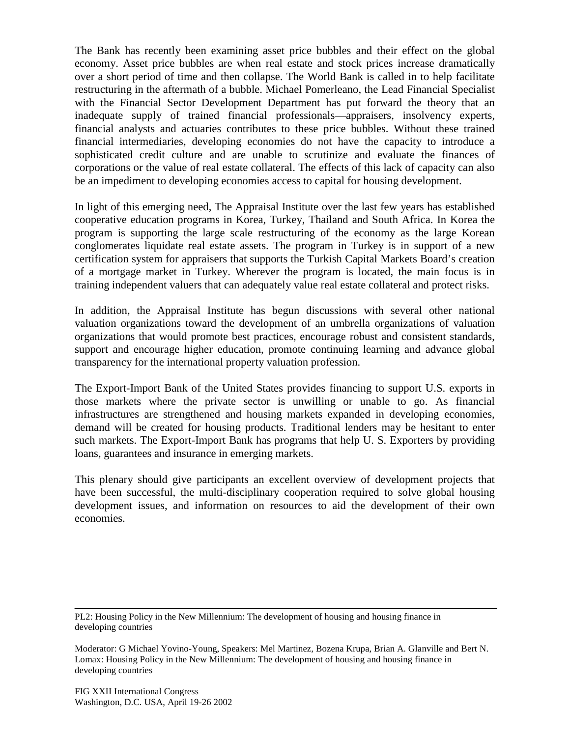The Bank has recently been examining asset price bubbles and their effect on the global economy. Asset price bubbles are when real estate and stock prices increase dramatically over a short period of time and then collapse. The World Bank is called in to help facilitate restructuring in the aftermath of a bubble. Michael Pomerleano, the Lead Financial Specialist with the Financial Sector Development Department has put forward the theory that an inadequate supply of trained financial professionals—appraisers, insolvency experts, financial analysts and actuaries contributes to these price bubbles. Without these trained financial intermediaries, developing economies do not have the capacity to introduce a sophisticated credit culture and are unable to scrutinize and evaluate the finances of corporations or the value of real estate collateral. The effects of this lack of capacity can also be an impediment to developing economies access to capital for housing development.

In light of this emerging need, The Appraisal Institute over the last few years has established cooperative education programs in Korea, Turkey, Thailand and South Africa. In Korea the program is supporting the large scale restructuring of the economy as the large Korean conglomerates liquidate real estate assets. The program in Turkey is in support of a new certification system for appraisers that supports the Turkish Capital Markets Board's creation of a mortgage market in Turkey. Wherever the program is located, the main focus is in training independent valuers that can adequately value real estate collateral and protect risks.

In addition, the Appraisal Institute has begun discussions with several other national valuation organizations toward the development of an umbrella organizations of valuation organizations that would promote best practices, encourage robust and consistent standards, support and encourage higher education, promote continuing learning and advance global transparency for the international property valuation profession.

The Export-Import Bank of the United States provides financing to support U.S. exports in those markets where the private sector is unwilling or unable to go. As financial infrastructures are strengthened and housing markets expanded in developing economies, demand will be created for housing products. Traditional lenders may be hesitant to enter such markets. The Export-Import Bank has programs that help U. S. Exporters by providing loans, guarantees and insurance in emerging markets.

This plenary should give participants an excellent overview of development projects that have been successful, the multi-disciplinary cooperation required to solve global housing development issues, and information on resources to aid the development of their own economies.

PL2: Housing Policy in the New Millennium: The development of housing and housing finance in developing countries

Moderator: G Michael Yovino-Young, Speakers: Mel Martinez, Bozena Krupa, Brian A. Glanville and Bert N. Lomax: Housing Policy in the New Millennium: The development of housing and housing finance in developing countries